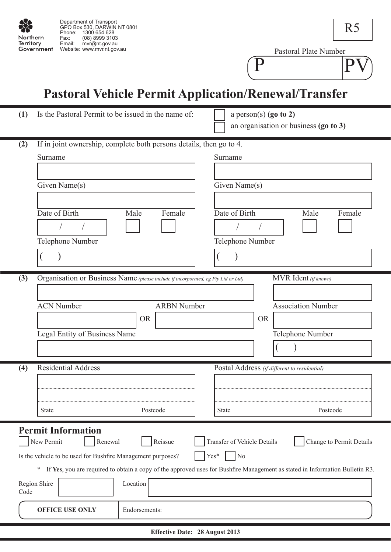

Pastoral Plate Number

P PV

# **Pastoral Vehicle Permit Application/Renewal/Transfer**

| (1)  | Is the Pastoral Permit to be issued in the name of:                               | a person(s) $(g_0 \t o_2)$<br>an organisation or business (go to 3)                                                          |  |  |  |  |  |  |  |  |
|------|-----------------------------------------------------------------------------------|------------------------------------------------------------------------------------------------------------------------------|--|--|--|--|--|--|--|--|
| (2)  | If in joint ownership, complete both persons details, then go to 4.               |                                                                                                                              |  |  |  |  |  |  |  |  |
|      | Surname                                                                           | Surname                                                                                                                      |  |  |  |  |  |  |  |  |
|      |                                                                                   |                                                                                                                              |  |  |  |  |  |  |  |  |
|      | Given Name(s)                                                                     | Given Name(s)                                                                                                                |  |  |  |  |  |  |  |  |
|      | Date of Birth<br>Female<br>Male                                                   | Date of Birth<br>Male<br>Female                                                                                              |  |  |  |  |  |  |  |  |
|      |                                                                                   |                                                                                                                              |  |  |  |  |  |  |  |  |
|      | Telephone Number                                                                  | Telephone Number                                                                                                             |  |  |  |  |  |  |  |  |
|      |                                                                                   |                                                                                                                              |  |  |  |  |  |  |  |  |
|      |                                                                                   |                                                                                                                              |  |  |  |  |  |  |  |  |
| (3)  | Organisation or Business Name (please include if incorporated, eg Pty Ltd or Ltd) | MVR Ident (if known)                                                                                                         |  |  |  |  |  |  |  |  |
|      |                                                                                   |                                                                                                                              |  |  |  |  |  |  |  |  |
|      | <b>ACN Number</b><br><b>ARBN</b> Number<br><b>OR</b>                              | <b>Association Number</b><br><b>OR</b>                                                                                       |  |  |  |  |  |  |  |  |
|      | Legal Entity of Business Name                                                     | Telephone Number                                                                                                             |  |  |  |  |  |  |  |  |
|      |                                                                                   |                                                                                                                              |  |  |  |  |  |  |  |  |
|      |                                                                                   |                                                                                                                              |  |  |  |  |  |  |  |  |
| (4)  | <b>Residential Address</b>                                                        | Postal Address (if different to residential)                                                                                 |  |  |  |  |  |  |  |  |
|      |                                                                                   |                                                                                                                              |  |  |  |  |  |  |  |  |
|      | Postcode<br><b>State</b>                                                          | Postcode<br>State                                                                                                            |  |  |  |  |  |  |  |  |
|      |                                                                                   |                                                                                                                              |  |  |  |  |  |  |  |  |
|      | <b>Permit Information</b><br>Reissue<br>New Permit<br>Renewal                     | Transfer of Vehicle Details<br>Change to Permit Details                                                                      |  |  |  |  |  |  |  |  |
|      | Is the vehicle to be used for Bushfire Management purposes?                       | Yes*<br>N <sub>o</sub>                                                                                                       |  |  |  |  |  |  |  |  |
|      | $\ast$                                                                            | If Yes, you are required to obtain a copy of the approved uses for Bushfire Management as stated in Information Bulletin R3. |  |  |  |  |  |  |  |  |
| Code | Location<br>Region Shire                                                          |                                                                                                                              |  |  |  |  |  |  |  |  |
|      | <b>OFFICE USE ONLY</b><br>Endorsements:                                           |                                                                                                                              |  |  |  |  |  |  |  |  |

**Effective Date: 28 August 2013**